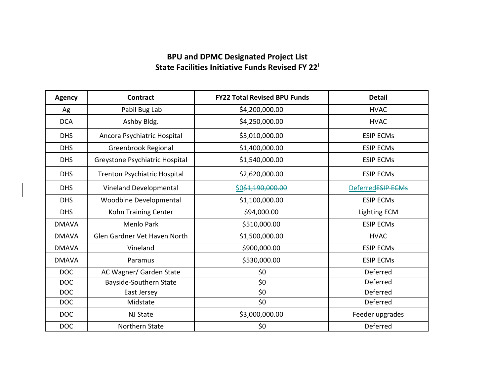## **BPU and DPMC Designated Project List State Facilities Initiative Funds Revised FY 22[i](#page-1-0)**

| <b>Agency</b> | <b>Contract</b>                | <b>FY22 Total Revised BPU Funds</b> | <b>Detail</b>       |
|---------------|--------------------------------|-------------------------------------|---------------------|
| Ag            | Pabil Bug Lab                  | \$4,200,000.00                      | <b>HVAC</b>         |
| <b>DCA</b>    | Ashby Bldg.                    | \$4,250,000.00                      | <b>HVAC</b>         |
| <b>DHS</b>    | Ancora Psychiatric Hospital    | \$3,010,000.00                      | <b>ESIP ECMs</b>    |
| <b>DHS</b>    | Greenbrook Regional            | \$1,400,000.00                      | <b>ESIP ECMs</b>    |
| <b>DHS</b>    | Greystone Psychiatric Hospital | \$1,540,000.00                      | <b>ESIP ECMs</b>    |
| <b>DHS</b>    | Trenton Psychiatric Hospital   | \$2,620,000.00                      | <b>ESIP ECMs</b>    |
| <b>DHS</b>    | Vineland Developmental         | \$0\$1,190,000.00                   | DeferredESIP ECMs   |
| <b>DHS</b>    | Woodbine Developmental         | \$1,100,000.00                      | <b>ESIP ECMs</b>    |
| <b>DHS</b>    | Kohn Training Center           | \$94,000.00                         | <b>Lighting ECM</b> |
| <b>DMAVA</b>  | <b>Menlo Park</b>              | \$510,000.00                        | <b>ESIP ECMs</b>    |
| <b>DMAVA</b>  | Glen Gardner Vet Haven North   | \$1,500,000.00                      | <b>HVAC</b>         |
| <b>DMAVA</b>  | Vineland                       | \$900,000.00                        | <b>ESIP ECMs</b>    |
| <b>DMAVA</b>  | Paramus                        | \$530,000.00                        | <b>ESIP ECMs</b>    |
| <b>DOC</b>    | AC Wagner/ Garden State        | \$0                                 | Deferred            |
| <b>DOC</b>    | Bayside-Southern State         | \$0\$                               | Deferred            |
| <b>DOC</b>    | East Jersey                    | \$0                                 | Deferred            |
| <b>DOC</b>    | Midstate                       | \$0\$                               | Deferred            |
| <b>DOC</b>    | <b>NJ State</b>                | \$3,000,000.00                      | Feeder upgrades     |
| <b>DOC</b>    | Northern State                 | \$0                                 | Deferred            |